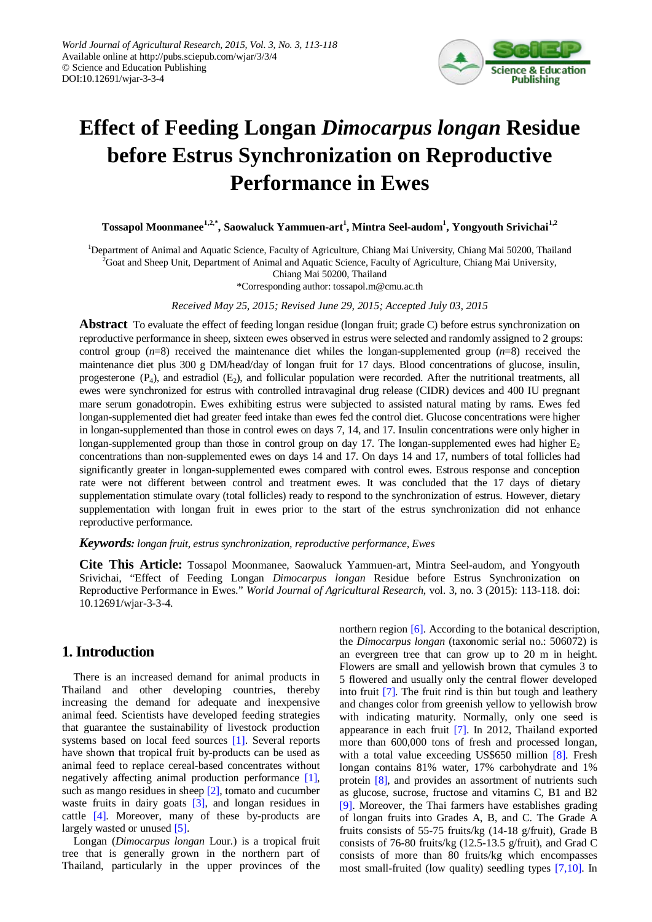

# **Effect of Feeding Longan** *Dimocarpus longan* **Residue before Estrus Synchronization on Reproductive Performance in Ewes**

**Tossapol Moonmanee1,2,\* , Saowaluck Yammuen-art<sup>1</sup> , Mintra Seel-audom1 , Yongyouth Srivichai1,2**

<sup>1</sup>Department of Animal and Aquatic Science, Faculty of Agriculture, Chiang Mai University, Chiang Mai 50200, Thailand <sup>2</sup>Goat and Sheep Unit, Department of Animal and Aquatic Science, Faculty of Agriculture, Chiang Mai University,

Chiang Mai 50200, Thailand

\*Corresponding author: tossapol.m@cmu.ac.th

*Received May 25, 2015; Revised June 29, 2015; Accepted July 03, 2015*

**Abstract** To evaluate the effect of feeding longan residue (longan fruit; grade C) before estrus synchronization on reproductive performance in sheep, sixteen ewes observed in estrus were selected and randomly assigned to 2 groups: control group (*n*=8) received the maintenance diet whiles the longan-supplemented group (*n*=8) received the maintenance diet plus 300 g DM/head/day of longan fruit for 17 days. Blood concentrations of glucose, insulin, progesterone  $(P_4)$ , and estradiol  $(E_2)$ , and follicular population were recorded. After the nutritional treatments, all ewes were synchronized for estrus with controlled intravaginal drug release (CIDR) devices and 400 IU pregnant mare serum gonadotropin. Ewes exhibiting estrus were subjected to assisted natural mating by rams. Ewes fed longan-supplemented diet had greater feed intake than ewes fed the control diet. Glucose concentrations were higher in longan-supplemented than those in control ewes on days 7, 14, and 17. Insulin concentrations were only higher in longan-supplemented group than those in control group on day 17. The longan-supplemented ewes had higher  $E_2$ concentrations than non-supplemented ewes on days 14 and 17. On days 14 and 17, numbers of total follicles had significantly greater in longan-supplemented ewes compared with control ewes. Estrous response and conception rate were not different between control and treatment ewes. It was concluded that the 17 days of dietary supplementation stimulate ovary (total follicles) ready to respond to the synchronization of estrus. However, dietary supplementation with longan fruit in ewes prior to the start of the estrus synchronization did not enhance reproductive performance.

## *Keywords: longan fruit, estrus synchronization, reproductive performance, Ewes*

**Cite This Article:** Tossapol Moonmanee, Saowaluck Yammuen-art, Mintra Seel-audom, and Yongyouth Srivichai, "Effect of Feeding Longan *Dimocarpus longan* Residue before Estrus Synchronization on Reproductive Performance in Ewes." *World Journal of Agricultural Research*, vol. 3, no. 3 (2015): 113-118. doi: 10.12691/wjar-3-3-4.

# **1. Introduction**

There is an increased demand for animal products in Thailand and other developing countries, thereby increasing the demand for adequate and inexpensive animal feed. Scientists have developed feeding strategies that guarantee the sustainability of livestock production systems based on local feed sources [\[1\].](#page-4-0) Several reports have shown that tropical fruit by-products can be used as animal feed to replace cereal-based concentrates without negatively affecting animal production performance [\[1\],](#page-4-0) such as mango residues in sheep [\[2\],](#page-5-0) tomato and cucumber waste fruits in dairy goats [\[3\],](#page-5-1) and longan residues in cattle [\[4\].](#page-5-2) Moreover, many of these by-products are largely wasted or unused [\[5\].](#page-5-3)

Longan (*Dimocarpus longan* Lour*.*) is a tropical fruit tree that is generally grown in the northern part of Thailand, particularly in the upper provinces of the northern region [\[6\].](#page-5-4) According to the botanical description, the *Dimocarpus longan* (taxonomic serial no.: 506072) is an evergreen tree that can grow up to 20 m in height. Flowers are small and yellowish brown that cymules 3 to 5 flowered and usually only the central flower developed into fruit [\[7\].](#page-5-5) The fruit rind is thin but tough and leathery and changes color from greenish yellow to yellowish brow with indicating maturity. Normally, only one seed is appearance in each fruit [\[7\].](#page-5-5) In 2012, Thailand exported more than 600,000 tons of fresh and processed longan, with a total value exceeding US\$650 million [\[8\].](#page-5-6) Fresh longan contains 81% water, 17% carbohydrate and 1% protein [\[8\],](#page-5-6) and provides an assortment of nutrients such as glucose, sucrose, fructose and vitamins C, B1 and B2 [\[9\].](#page-5-7) Moreover, the Thai farmers have establishes grading of longan fruits into Grades A, B, and C. The Grade A fruits consists of 55-75 fruits/kg (14-18 g/fruit), Grade B consists of 76-80 fruits/kg (12.5-13.5 g/fruit), and Grad C consists of more than 80 fruits/kg which encompasses most small-fruited (low quality) seedling types [\[7,10\].](#page-5-5) In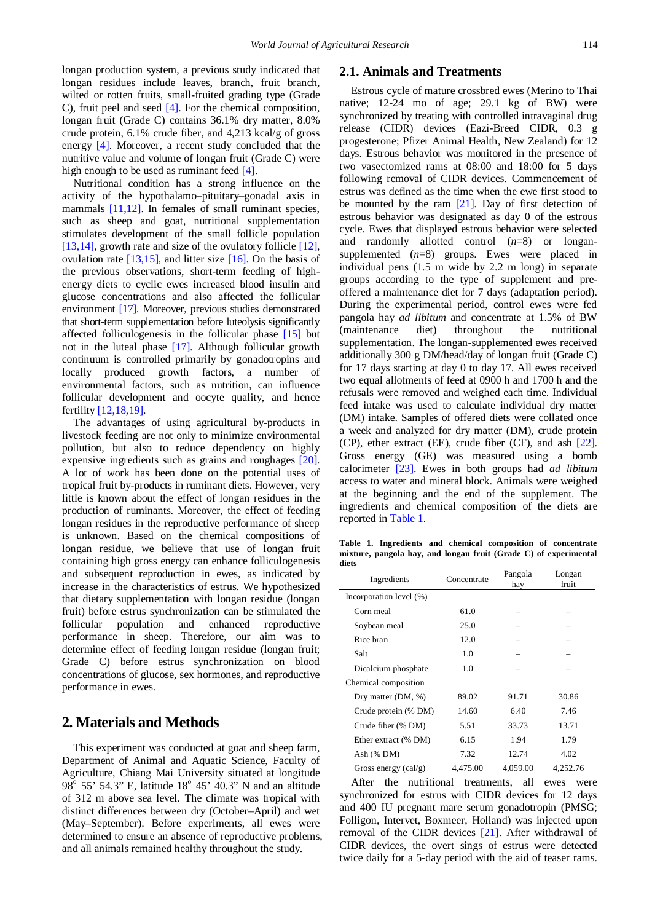longan production system, a previous study indicated that longan residues include leaves, branch, fruit branch, wilted or rotten fruits, small-fruited grading type (Grade C), fruit peel and seed [\[4\].](#page-5-2) For the chemical composition, longan fruit (Grade C) contains 36.1% dry matter, 8.0% crude protein, 6.1% crude fiber, and 4,213 kcal/g of gross energy [\[4\].](#page-5-2) Moreover, a recent study concluded that the nutritive value and volume of longan fruit (Grade C) were high enough to be used as ruminant feed [\[4\].](#page-5-2)

Nutritional condition has a strong influence on the activity of the hypothalamo–pituitary–gonadal axis in mammals [\[11,12\].](#page-5-8) In females of small ruminant species, such as sheep and goat, nutritional supplementation stimulates development of the small follicle population [\[13,14\],](#page-5-9) growth rate and size of the ovulatory follicle [\[12\],](#page-5-10) ovulation rate [\[13,15\],](#page-5-9) and litter size [\[16\].](#page-5-11) On the basis of the previous observations, short-term feeding of highenergy diets to cyclic ewes increased blood insulin and glucose concentrations and also affected the follicular environment [\[17\].](#page-5-12) Moreover, previous studies demonstrated that short-term supplementation before luteolysis significantly affected folliculogenesis in the follicular phase [\[15\]](#page-5-13) but not in the luteal phase [\[17\].](#page-5-12) Although follicular growth continuum is controlled primarily by gonadotropins and locally produced growth factors, a number of environmental factors, such as nutrition, can influence follicular development and oocyte quality, and hence fertility [\[12,18,19\].](#page-5-10)

The advantages of using agricultural by-products in livestock feeding are not only to minimize environmental pollution, but also to reduce dependency on highly expensive ingredients such as grains and roughages [\[20\].](#page-5-14) A lot of work has been done on the potential uses of tropical fruit by-products in ruminant diets. However, very little is known about the effect of longan residues in the production of ruminants. Moreover, the effect of feeding longan residues in the reproductive performance of sheep is unknown. Based on the chemical compositions of longan residue, we believe that use of longan fruit containing high gross energy can enhance folliculogenesis and subsequent reproduction in ewes, as indicated by increase in the characteristics of estrus. We hypothesized that dietary supplementation with longan residue (longan fruit) before estrus synchronization can be stimulated the follicular population and enhanced reproductive performance in sheep. Therefore, our aim was to determine effect of feeding longan residue (longan fruit; Grade C) before estrus synchronization on blood concentrations of glucose, sex hormones, and reproductive performance in ewes.

## **2. Materials and Methods**

This experiment was conducted at goat and sheep farm, Department of Animal and Aquatic Science, Faculty of Agriculture, Chiang Mai University situated at longitude  $98^{\circ}$  55' 54.3" E, latitude  $18^{\circ}$  45' 40.3" N and an altitude of 312 m above sea level. The climate was tropical with distinct differences between dry (October–April) and wet (May–September). Before experiments, all ewes were determined to ensure an absence of reproductive problems, and all animals remained healthy throughout the study.

## **2.1. Animals and Treatments**

Estrous cycle of mature crossbred ewes (Merino to Thai native; 12-24 mo of age; 29.1 kg of BW) were synchronized by treating with controlled intravaginal drug release (CIDR) devices (Eazi-Breed CIDR, 0.3 g progesterone; Pfizer Animal Health, New Zealand) for 12 days. Estrous behavior was monitored in the presence of two vasectomized rams at 08:00 and 18:00 for 5 days following removal of CIDR devices. Commencement of estrus was defined as the time when the ewe first stood to be mounted by the ram  $[21]$ . Day of first detection of estrous behavior was designated as day 0 of the estrous cycle. Ewes that displayed estrous behavior were selected and randomly allotted control (*n*=8) or longansupplemented (*n*=8) groups. Ewes were placed in individual pens (1.5 m wide by 2.2 m long) in separate groups according to the type of supplement and preoffered a maintenance diet for 7 days (adaptation period). During the experimental period, control ewes were fed pangola hay *ad libitum* and concentrate at 1.5% of BW (maintenance diet) throughout the nutritional supplementation. The longan-supplemented ewes received additionally 300 g DM/head/day of longan fruit (Grade C) for 17 days starting at day 0 to day 17. All ewes received two equal allotments of feed at 0900 h and 1700 h and the refusals were removed and weighed each time. Individual feed intake was used to calculate individual dry matter (DM) intake. Samples of offered diets were collated once a week and analyzed for dry matter (DM), crude protein (CP), ether extract (EE), crude fiber (CF), and ash [\[22\].](#page-5-16) Gross energy (GE) was measured using a bomb calorimeter [\[23\].](#page-5-17) Ewes in both groups had *ad libitum*  access to water and mineral block. Animals were weighed at the beginning and the end of the supplement. The ingredients and chemical composition of the diets are reported in [Table 1.](#page-1-0)

**Table 1. Ingredients and chemical composition of concentrate mixture, pangola hay, and longan fruit (Grade C) of experimental diets**

<span id="page-1-0"></span>

| Ingredients             | Concentrate | Pangola<br>hay | Longan<br>fruit |
|-------------------------|-------------|----------------|-----------------|
| Incorporation level (%) |             |                |                 |
| Corn meal               | 61.0        |                |                 |
| Soybean meal            | 25.0        |                |                 |
| Rice bran               | 12.0        |                |                 |
| Salt                    | 1.0         |                |                 |
| Dicalcium phosphate     | 1.0         |                |                 |
| Chemical composition    |             |                |                 |
| Dry matter (DM, %)      | 89.02       | 91.71          | 30.86           |
| Crude protein (% DM)    | 14.60       | 6.40           | 7.46            |
| Crude fiber (% DM)      | 5.51        | 33.73          | 13.71           |
| Ether extract (% DM)    | 6.15        | 1.94           | 1.79            |
| Ash $(\%$ DM)           | 7.32        | 12.74          | 4.02            |
| Gross energy $(cal/g)$  | 4,475.00    | 4,059.00       | 4.252.76        |

After the nutritional treatments, all ewes were synchronized for estrus with CIDR devices for 12 days and 400 IU pregnant mare serum gonadotropin (PMSG; Folligon, Intervet, Boxmeer, Holland) was injected upon removal of the CIDR devices [\[21\].](#page-5-15) After withdrawal of CIDR devices, the overt sings of estrus were detected twice daily for a 5-day period with the aid of teaser rams.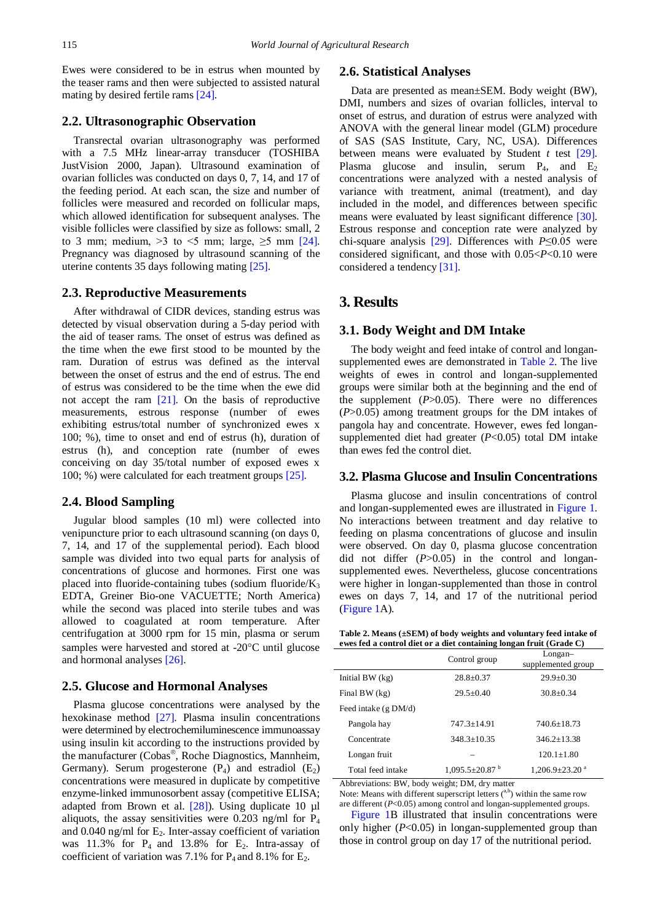Ewes were considered to be in estrus when mounted by the teaser rams and then were subjected to assisted natural mating by desired fertile rams [\[24\].](#page-5-18)

## **2.2. Ultrasonographic Observation**

Transrectal ovarian ultrasonography was performed with a 7.5 MHz linear-array transducer (TOSHIBA JustVision 2000, Japan). Ultrasound examination of ovarian follicles was conducted on days 0, 7, 14, and 17 of the feeding period. At each scan, the size and number of follicles were measured and recorded on follicular maps, which allowed identification for subsequent analyses. The visible follicles were classified by size as follows: small, 2 to 3 mm; medium,  $>3$  to  $<$ 5 mm; large,  $\geq$ 5 mm [\[24\].](#page-5-18) Pregnancy was diagnosed by ultrasound scanning of the uterine contents 35 days following mating [\[25\].](#page-5-19)

#### **2.3. Reproductive Measurements**

After withdrawal of CIDR devices, standing estrus was detected by visual observation during a 5-day period with the aid of teaser rams. The onset of estrus was defined as the time when the ewe first stood to be mounted by the ram. Duration of estrus was defined as the interval between the onset of estrus and the end of estrus. The end of estrus was considered to be the time when the ewe did not accept the ram [\[21\].](#page-5-15) On the basis of reproductive measurements, estrous response (number of ewes exhibiting estrus/total number of synchronized ewes x 100; %), time to onset and end of estrus (h), duration of estrus (h), and conception rate (number of ewes conceiving on day 35/total number of exposed ewes x 100; %) were calculated for each treatment groups [\[25\].](#page-5-19)

#### **2.4. Blood Sampling**

Jugular blood samples (10 ml) were collected into venipuncture prior to each ultrasound scanning (on days 0, 7, 14, and 17 of the supplemental period). Each blood sample was divided into two equal parts for analysis of concentrations of glucose and hormones. First one was placed into fluoride-containing tubes (sodium fluoride/ $K_3$ ) EDTA, Greiner Bio-one VACUETTE; North America) while the second was placed into sterile tubes and was allowed to coagulated at room temperature. After centrifugation at 3000 rpm for 15 min, plasma or serum samples were harvested and stored at -20°C until glucose and hormonal analyses [\[26\].](#page-5-20)

#### **2.5. Glucose and Hormonal Analyses**

Plasma glucose concentrations were analysed by the hexokinase method [\[27\].](#page-5-21) Plasma insulin concentrations were determined by electrochemiluminescence immunoassay using insulin kit according to the instructions provided by the manufacturer (Cobas®, Roche Diagnostics, Mannheim, Germany). Serum progesterone  $(P_4)$  and estradiol  $(E_2)$ concentrations were measured in duplicate by competitive enzyme-linked immunosorbent assay (competitive ELISA; adapted from Brown et al. [\[28\]\)](#page-5-22). Using duplicate 10 µl aliquots, the assay sensitivities were 0.203 ng/ml for  $P_4$ and  $0.040$  ng/ml for  $E_2$ . Inter-assay coefficient of variation was  $11.3\%$  for  $P_4$  and  $13.8\%$  for  $E_2$ . Intra-assay of coefficient of variation was 7.1% for  $P_4$  and 8.1% for  $E_2$ .

#### **2.6. Statistical Analyses**

Data are presented as mean±SEM. Body weight (BW), DMI, numbers and sizes of ovarian follicles, interval to onset of estrus, and duration of estrus were analyzed with ANOVA with the general linear model (GLM) procedure of SAS (SAS Institute, Cary, NC, USA). Differences between means were evaluated by Student *t* test [\[29\].](#page-5-23) Plasma glucose and insulin, serum  $P_4$ , and  $E_2$ concentrations were analyzed with a nested analysis of variance with treatment, animal (treatment), and day included in the model, and differences between specific means were evaluated by least significant difference [\[30\].](#page-5-24) Estrous response and conception rate were analyzed by chi-square analysis [\[29\].](#page-5-23) Differences with *P*≤0.05 were considered significant, and those with 0.05<*P*<0.10 were considered a tendenc[y \[31\].](#page-5-25)

## **3. Results**

#### **3.1. Body Weight and DM Intake**

The body weight and feed intake of control and longansupplemented ewes are demonstrated in [Table 2.](#page-2-0) The live weights of ewes in control and longan-supplemented groups were similar both at the beginning and the end of the supplement (*P*>0.05). There were no differences (*P*>0.05) among treatment groups for the DM intakes of pangola hay and concentrate. However, ewes fed longansupplemented diet had greater (*P*<0.05) total DM intake than ewes fed the control diet.

#### **3.2. Plasma Glucose and Insulin Concentrations**

Plasma glucose and insulin concentrations of control and longan-supplemented ewes are illustrated in [Figure 1.](#page-3-0) No interactions between treatment and day relative to feeding on plasma concentrations of glucose and insulin were observed. On day 0, plasma glucose concentration did not differ (*P*>0.05) in the control and longansupplemented ewes. Nevertheless, glucose concentrations were higher in longan-supplemented than those in control ewes on days 7, 14, and 17 of the nutritional period [\(Figure 1A](#page-3-0)).

**Table 2. Means (±SEM) of body weights and voluntary feed intake of ewes fed a control diet or a diet containing longan fruit (Grade C)**

<span id="page-2-0"></span>

|                        | Control group                    | $Longan-$<br>supplemented group  |
|------------------------|----------------------------------|----------------------------------|
| Initial $BW$ (kg)      | $28.8 + 0.37$                    | $29.9 + 0.30$                    |
| Final BW $(kg)$        | $29.5 + 0.40$                    | $30.8 + 0.34$                    |
| Feed intake $(g DM/d)$ |                                  |                                  |
| Pangola hay            | $747.3 + 14.91$                  | 740.6+18.73                      |
| Concentrate            | $348.3 + 10.35$                  | $346.2 + 13.38$                  |
| Longan fruit           |                                  | $120.1 + 1.80$                   |
| Total feed intake      | $1,095.5 \pm 20.87$ <sup>b</sup> | $1,206.9 \pm 23.20$ <sup>a</sup> |

Abbreviations: BW, body weight; DM, dry matter

Note: Means with different superscript letters (a,b) within the same row are different (*P*<0.05) among control and longan-supplemented groups.

[Figure 1B](#page-3-0) illustrated that insulin concentrations were only higher (*P*<0.05) in longan-supplemented group than those in control group on day 17 of the nutritional period.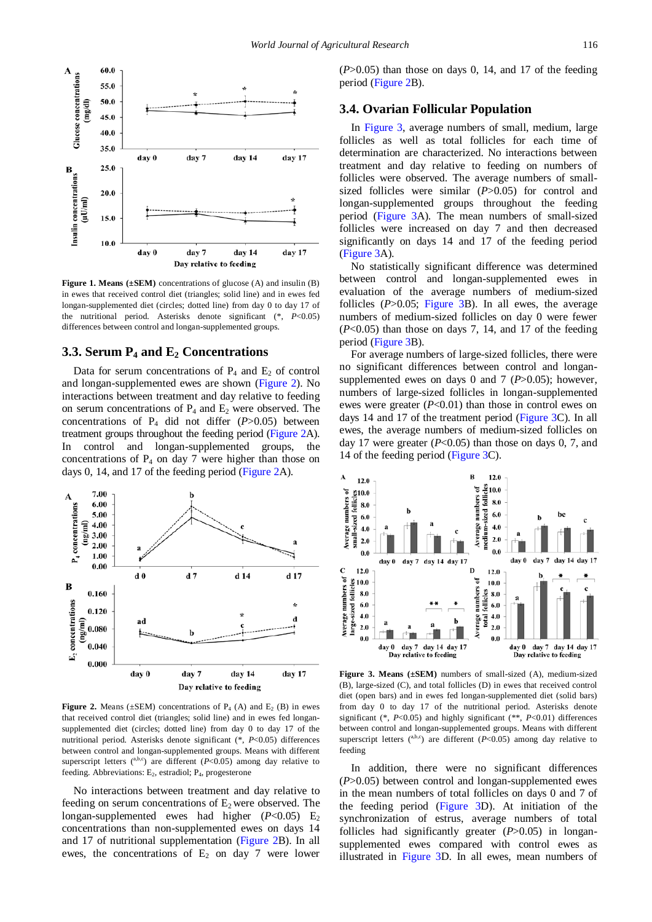<span id="page-3-0"></span>

**Figure 1. Means (±SEM)** concentrations of glucose (A) and insulin (B) in ewes that received control diet (triangles; solid line) and in ewes fed longan-supplemented diet (circles; dotted line) from day 0 to day 17 of the nutritional period. Asterisks denote significant (\*, *P*<0.05) differences between control and longan-supplemented groups.

## **3.3. Serum P4 and E2 Concentrations**

Data for serum concentrations of  $P_4$  and  $E_2$  of control and longan-supplemented ewes are shown [\(Figure 2\)](#page-3-1). No interactions between treatment and day relative to feeding on serum concentrations of  $P_4$  and  $E_2$  were observed. The concentrations of  $P_4$  did not differ ( $P > 0.05$ ) between treatment groups throughout the feeding period [\(Figure 2A](#page-3-1)). In control and longan-supplemented groups, the concentrations of  $P_4$  on day 7 were higher than those on days 0, 14, and 17 of the feeding period [\(Figure 2A](#page-3-1)).

<span id="page-3-1"></span>

**Figure 2.** Means ( $\pm$ SEM) concentrations of P<sub>4</sub> (A) and E<sub>2</sub> (B) in ewes that received control diet (triangles; solid line) and in ewes fed longansupplemented diet (circles; dotted line) from day 0 to day 17 of the nutritional period. Asterisks denote significant (\*, *P*<0.05) differences between control and longan-supplemented groups. Means with different superscript letters  $($ <sup>a,b,c</sup>) are different  $(P<0.05)$  among day relative to feeding. Abbreviations: E<sub>2</sub>, estradiol; P<sub>4</sub>, progesterone

No interactions between treatment and day relative to feeding on serum concentrations of  $E_2$  were observed. The longan-supplemented ewes had higher  $(P<0.05)$  E<sub>2</sub> concentrations than non-supplemented ewes on days 14 and 17 of nutritional supplementation [\(Figure 2B](#page-3-1)). In all ewes, the concentrations of  $E_2$  on day 7 were lower  $(P>0.05)$  than those on days 0, 14, and 17 of the feeding period [\(Figure 2B](#page-3-1)).

#### **3.4. Ovarian Follicular Population**

In [Figure 3,](#page-3-2) average numbers of small, medium, large follicles as well as total follicles for each time of determination are characterized. No interactions between treatment and day relative to feeding on numbers of follicles were observed. The average numbers of smallsized follicles were similar (*P*>0.05) for control and longan-supplemented groups throughout the feeding period [\(Figure 3A](#page-3-2)). The mean numbers of small-sized follicles were increased on day 7 and then decreased significantly on days 14 and 17 of the feeding period [\(Figure 3A](#page-3-2)).

No statistically significant difference was determined between control and longan-supplemented ewes in evaluation of the average numbers of medium-sized follicles (*P*>0.05; [Figure 3B](#page-3-2)). In all ewes, the average numbers of medium-sized follicles on day 0 were fewer (*P*<0.05) than those on days 7, 14, and 17 of the feeding period [\(Figure 3B](#page-3-2)).

For average numbers of large-sized follicles, there were no significant differences between control and longansupplemented ewes on days 0 and 7 (*P*>0.05); however, numbers of large-sized follicles in longan-supplemented ewes were greater (*P*<0.01) than those in control ewes on days 14 and 17 of the treatment period [\(Figure 3C](#page-3-2)). In all ewes, the average numbers of medium-sized follicles on day 17 were greater (*P*<0.05) than those on days 0, 7, and 14 of the feeding period [\(Figure 3C](#page-3-2)).

<span id="page-3-2"></span>

**Figure 3. Means (±SEM)** numbers of small-sized (A), medium-sized (B), large-sized (C), and total follicles (D) in ewes that received control diet (open bars) and in ewes fed longan-supplemented diet (solid bars) from day 0 to day 17 of the nutritional period. Asterisks denote significant (\*, *P*<0.05) and highly significant (\*\*, *P*<0.01) differences between control and longan-supplemented groups. Means with different superscript letters  $($ <sup>a,b,c</sup>) are different  $(P<0.05)$  among day relative to feeding

In addition, there were no significant differences (*P*>0.05) between control and longan-supplemented ewes in the mean numbers of total follicles on days 0 and 7 of the feeding period [\(Figure 3D](#page-3-2)). At initiation of the synchronization of estrus, average numbers of total follicles had significantly greater (*P*>0.05) in longansupplemented ewes compared with control ewes as illustrated in [Figure 3D](#page-3-2). In all ewes, mean numbers of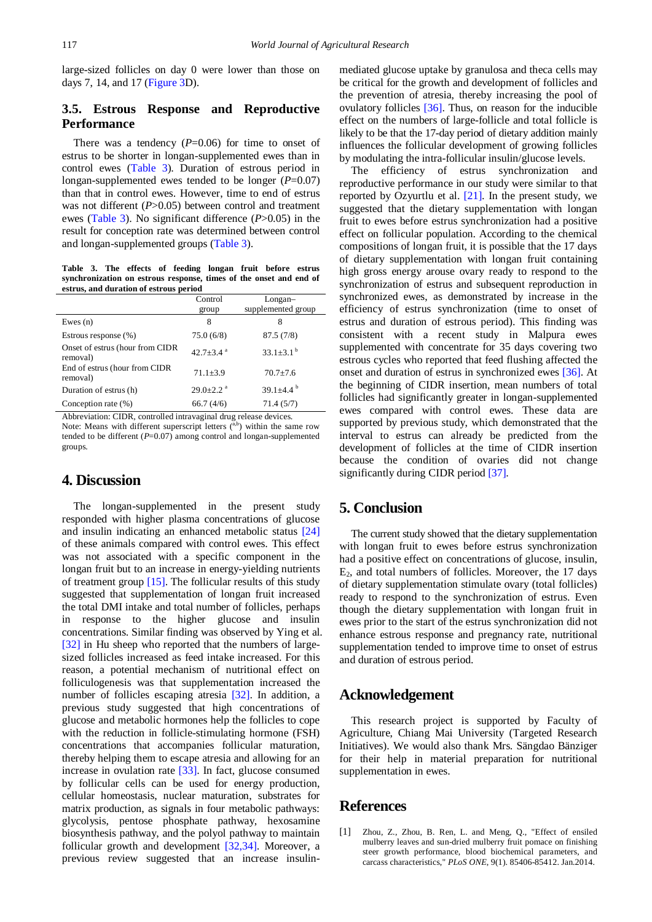large-sized follicles on day 0 were lower than those on days 7, 14, and 17 [\(Figure 3D](#page-3-2)).

## **3.5. Estrous Response and Reproductive Performance**

There was a tendency  $(P=0.06)$  for time to onset of estrus to be shorter in longan-supplemented ewes than in control ewes [\(Table 3\)](#page-4-1). Duration of estrous period in longan-supplemented ewes tended to be longer (*P*=0.07) than that in control ewes. However, time to end of estrus was not different (*P*>0.05) between control and treatment ewes [\(Table 3\)](#page-4-1). No significant difference (*P*>0.05) in the result for conception rate was determined between control and longan-supplemented groups [\(Table 3\)](#page-4-1).

**Table 3. The effects of feeding longan fruit before estrus synchronization on estrous response, times of the onset and end of estrus, and duration of estrous period**

<span id="page-4-1"></span>

|                                             | Control<br>group            | Longan-<br>supplemented group |
|---------------------------------------------|-----------------------------|-------------------------------|
| Ewes $(n)$                                  | 8                           | 8                             |
| Estrous response (%)                        | 75.0(6/8)                   | 87.5(7/8)                     |
| Onset of estrus (hour from CIDR<br>removal) | $42.7 + 3.4$ <sup>a</sup>   | $33.1 \pm 3.1^{\circ}$        |
| End of estrus (hour from CIDR<br>removal)   | $71.1 \pm 3.9$              | $70.7 + 7.6$                  |
| Duration of estrus (h)                      | $29.0 \pm 2.2$ <sup>a</sup> | 39.1 $\pm$ 4.4 $^{\circ}$     |
| Conception rate $(\%)$                      | 66.7(4/6)                   | 71.4(5/7)                     |

Abbreviation: CIDR, controlled intravaginal drug release devices. Note: Means with different superscript letters  $(ab)$  within the same row tended to be different  $(P=0.07)$  among control and longan-supplemented groups.

## **4. Discussion**

The longan-supplemented in the present study responded with higher plasma concentrations of glucose and insulin indicating an enhanced metabolic status [\[24\]](#page-5-18) of these animals compared with control ewes. This effect was not associated with a specific component in the longan fruit but to an increase in energy-yielding nutrients of treatment group [\[15\].](#page-5-13) The follicular results of this study suggested that supplementation of longan fruit increased the total DMI intake and total number of follicles, perhaps in response to the higher glucose and insulin concentrations. Similar finding was observed by Ying et al. [\[32\]](#page-5-26) in Hu sheep who reported that the numbers of largesized follicles increased as feed intake increased. For this reason, a potential mechanism of nutritional effect on folliculogenesis was that supplementation increased the number of follicles escaping atresia [\[32\].](#page-5-26) In addition, a previous study suggested that high concentrations of glucose and metabolic hormones help the follicles to cope with the reduction in follicle-stimulating hormone (FSH) concentrations that accompanies follicular maturation, thereby helping them to escape atresia and allowing for an increase in ovulation rate [\[33\].](#page-5-27) In fact, glucose consumed by follicular cells can be used for energy production, cellular homeostasis, nuclear maturation, substrates for matrix production, as signals in four metabolic pathways: glycolysis, pentose phosphate pathway, hexosamine biosynthesis pathway, and the polyol pathway to maintain follicular growth and development [\[32,34\].](#page-5-26) Moreover, a previous review suggested that an increase insulinmediated glucose uptake by granulosa and theca cells may be critical for the growth and development of follicles and the prevention of atresia, thereby increasing the pool of ovulatory follicles [\[36\].](#page-5-28) Thus, on reason for the inducible effect on the numbers of large-follicle and total follicle is likely to be that the 17-day period of dietary addition mainly influences the follicular development of growing follicles by modulating the intra-follicular insulin/glucose levels.

The efficiency of estrus synchronization and reproductive performance in our study were similar to that reported by Ozyurtlu et al. [\[21\].](#page-5-15) In the present study, we suggested that the dietary supplementation with longan fruit to ewes before estrus synchronization had a positive effect on follicular population. According to the chemical compositions of longan fruit, it is possible that the 17 days of dietary supplementation with longan fruit containing high gross energy arouse ovary ready to respond to the synchronization of estrus and subsequent reproduction in synchronized ewes, as demonstrated by increase in the efficiency of estrus synchronization (time to onset of estrus and duration of estrous period). This finding was consistent with a recent study in Malpura ewes supplemented with concentrate for 35 days covering two estrous cycles who reported that feed flushing affected the onset and duration of estrus in synchronized ewes [\[36\].](#page-5-28) At the beginning of CIDR insertion, mean numbers of total follicles had significantly greater in longan-supplemented ewes compared with control ewes. These data are supported by previous study, which demonstrated that the interval to estrus can already be predicted from the development of follicles at the time of CIDR insertion because the condition of ovaries did not change significantly during CIDR perio[d \[37\].](#page-5-29) 

# **5. Conclusion**

The current study showed that the dietary supplementation with longan fruit to ewes before estrus synchronization had a positive effect on concentrations of glucose, insulin,  $E<sub>2</sub>$ , and total numbers of follicles. Moreover, the 17 days of dietary supplementation stimulate ovary (total follicles) ready to respond to the synchronization of estrus. Even though the dietary supplementation with longan fruit in ewes prior to the start of the estrus synchronization did not enhance estrous response and pregnancy rate, nutritional supplementation tended to improve time to onset of estrus and duration of estrous period.

## **Acknowledgement**

This research project is supported by Faculty of Agriculture, Chiang Mai University (Targeted Research Initiatives). We would also thank Mrs. Sängdao Bänziger for their help in material preparation for nutritional supplementation in ewes.

## **References**

<span id="page-4-0"></span>[1] Zhou, Z., Zhou, B. Ren, L. and Meng, Q., "Effect of ensiled mulberry leaves and sun-dried mulberry fruit pomace on finishing steer growth performance, blood biochemical parameters, and carcass characteristics," *PLoS ONE*, 9(1). 85406-85412. Jan.2014.